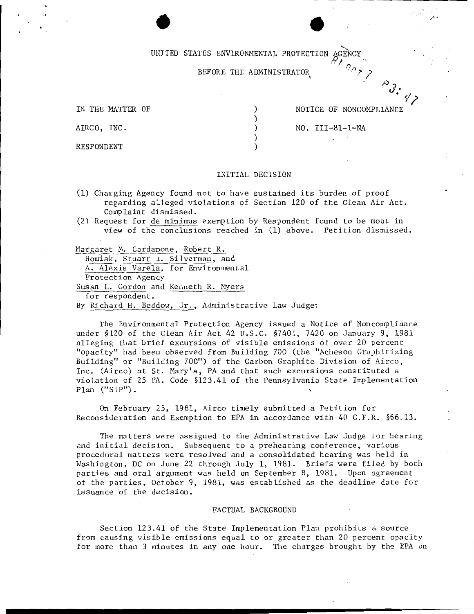# UNITED STATES ENVIRONMENTAL PROTECTION AGENCY

# BEFORE THE ADMINISTRATOR

) ) ) )

IN THE MATTER OF  $)$ 

NOTICE OF NONCOMPLIANCE

 $^{\circ}$ ያ.

 $\cdot \frac{1}{\frac{1}{2}}$ 

AIRCO, INC. (a) (a) NO. III-81-1-NA

RESPONDENT

#### INITIAL DECISION

- (1) Charging Agency found not to have sustained its burden of proof regarding alleged violations of Section 120 of the Clean Air Act. Complaint dismissed.
- (2) Request for de minimus exemption by Respondent found to be moot in view of the conclusions reached in (1) above. Petition dismissed.

Margaret M. Cardamone, Robert R.

Homiak, Stuart I. Silverman, and A. Alexis Varela, for Environmental Protection Agency Susan L. Gordon and Kenneth R. Myers for respondent. By Richard H. Beddow, Jr., Administrative Law Judge:

The Environmental Protection Agency issued a Notice of Noncomplian ce under §120 of the Clean Air Act 42 U.S.C. §7401, 7420 on January 9, 1981 alleging that brief excursions of visible emissions of over 20 percent "opacity" had been observed from Building 700 (the "Acheson Graphitizing Building" or "Building 700") of the Carbon Graphite Division of Airco, Inc. (Airco) at St. Mary's, PA and that such excursions constituted a violation of 25 PA. Code §123.41 of the Pennsylvania State Implementation Plan ("SIP").

On February 25, 1981, Airco timely submitted a Petition for Reconsideration and Exemption to EPA in accordance with 40 C.F.R. §66.13.

The matters were assigned to the Administrative Law Judge for hearing and initial decision. Subsequent to a prehearing conference, various procedural matters were resolved and a consolidated hearing was held in Washington, DC on June 22 through July 1, 1981. Briefs were filed by both parties and oral argument was held on September 8, 1981. Upon agreement of the parties, October 9, 1981, was established as the deadline date for issuance of the decision.

# FACTUAL BACKGROUND

Section 123.41 of the State Implementation Plan prohibits a source from causing visible emissions equal to or greater than 20 percent opacity for more than 3 minutes in any one hour. The charges brought by the EPA on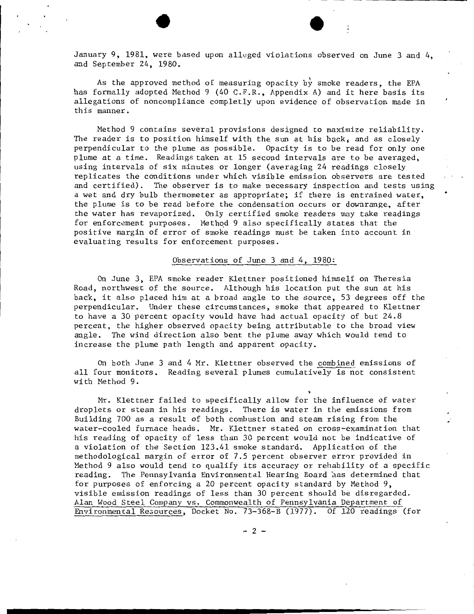January 9, 1981, were based upon alleged violations observed on June 3 and 4, and September 24, 1980.

As the approved method of measuring opacity by smoke readers, the EPA has formally adopted Method 9 (40 C.F.R., Appendix A) and it here basis its allegations of noncompliance completly upon evidence of observation made in this manner.

Method 9 contains several provisions designed to maximize reliability. The reader is to position himself with the sun at his back, and as closely perpendicular to the plume as possible. Opacity is to be read for only one plume at a time. Readings taken at 15 second intervals are to be averaged, using intervals of six minutes or longer (averaging 24 readings closely replicates the conditions under which visible emission observers are tested and certified). The observer is to make necessary inspection and tests using a wet and dry bulb thermometer as appropriate; if there is entrained water, the plume is to be read before the condensation occurs or downrange, after the water has revaporized. Only certified smoke readers may take readings for enforcement purposes. Method 9 also specifically states that the positive margin of error of smoke readings must be taken into account in evaluating results for enforcement purposes.

### Observations of June 3 and 4, 1980:

On June 3, EPA smoke reader Klettner positioned himself on Theresia Road, northwest of the source. Although his location put the sun at his back, it also placed him at a broad angle to the source, 53 degrees off the perpendicular. Under these circumstances, smoke that appeared to Klettner to have a 30 percent opacity would have had actual opacity of but 24.8 percent, the higher observed opacity being attributable to the broad view angle. The wind direction also bent the plume away which would tend to increase the plume path length and apparent opacity.

On both June 3 and 4 Mr. Klettner observed the combined emissions of all four monitors. Reading several plumes cumulatively is not consistent with Method 9.

~

Mr. Klettner failed to specifically allow for the influence of water droplets or steam in his readings. There is water in the emissions from Building 700 as a result of both combustion and steam rising from the water-cooled furnace heads. Mr. Klettner stated on cross-examination that his reading of opacity of less than 30 percent would not be indicative of a violation of the Section 123.41 smoke standard. Application of the methodological margin of error of 7.5 percent observer error provided in Method 9 also would tend to qualify its accuracy or rehability of a specific reading. The Pennsylvania Environmental Hearing Board has determined that for purposes of enforcing a 20 percent opacity standard by Method 9, visible emission readings of less than 30 percent should be disregarded. Alan Wood Steel Company vs. Commonwealth of Pennsylvania Department of Environmental Re3ources, Docket No. 73-368-B (1977). Of 120 readings (for

 $- 2 -$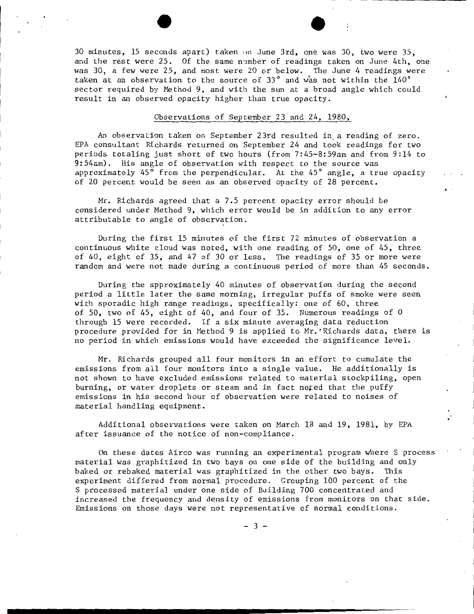30 minutes, 15 seconds apart) taken on June 3rd, one was 30, two were 35, and the rest were 25. Of the same n·1mber of readings taken on June 4th, one was 30, a few were 25, and most were 20 or below. The June 4 readings were taken at an observation to the source of 33 $^{\circ}$  and was not within the 140 $^{\circ}$ sector required by Method 9, and with the sun at a broad angle which could result in an observed opacity higher than true opacity.

### Observations of September 23 and 24, 1980,

An observation taken on September 23rd resulted in. a reading of zero. EPA consultant Richards returned on September 24 and took readings for two periods totaling just short of two hours (from 7:45-8:59am and from 9:14 to 9:54am). His angle of observation with respect to the source was approximately  $45^{\circ}$  from the perpendicular. At the  $45^{\circ}$  angle, a true opacity of 20 percent would be seen as an observed opacity of 28 percent.

Mr. Richards agreed that a 7.5 percent opacity error should be considered under Method 9, which error would be in addition to any error attributable to angle of observation.

During the first 15 minutes of the first 72 minutes of observation a continuous white cloud was noted, with one reading of SO, one of 45, three of 40, eight of 35, and 47 of 30 or less. The readings of 35 or more were random and were not made during a continuous period of more than 45 seconds.

During the approximately 40 minutes of observation during the second period a little later the same morning, irregular puffs of smoke were seen with sporadic high range readings, specifically: one of 60, three of 50, two of 45, eight of 40, and four of 35. Numerous readings of 0 through 15 were recorded. If a six minute averaging data reduction procedure provided for in Method 9 is applied to Mr.'Richards data, there is no period in which emissions would have exceeded the significance level.

Mr. Richards grouped all four monitors in an effort to cumulate the emissions from all four monitors into a single value. He additionally is not shown to have excluded emissions related to material stockpiling, open burning, or water droplets or steam and in fact nofed that the puffy emissions in his second hour of observation were related to noises of material handling equipment.

Additional observations were taken on March 18 and 19, 1981, by EPA after issuance of the notice of non-compliance.

On these dates Airco was running an experimental program where S process material was graphitized in two bays on one side of the building and only baked or rebaked material was graphitized in the other two bays. This experiment differed from normal procedure. Grouping 100 percent of the S processed material under one side of Building 700 concentrated and increased the frequency and density of emissions from monitors on that side. Emissions on those days were not representative of normal eonditions.

- 3 -

................. --------------------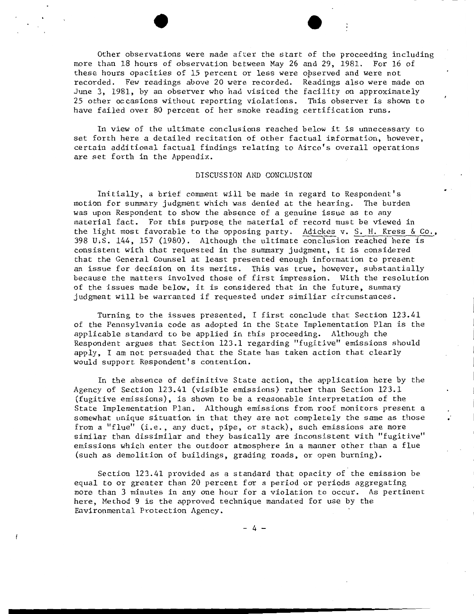Other observations were made after the start of the proceeding including more than 18 hours of observation between May 26 and 29, 1981. For 16 of these hours opacities of 15 percent or less were opserved and were not recorded. Few readings above 20 were recorded. Readings also were made on June 3, 1981, by an observer who had visited the facility on approximately 25 other occasions without reporting violations. This observer is shown to have failed over 80 percent of her smoke reading certification runs.

In view of the ultimate conclusions reached below it is unnecessary to set forth here a detailed recitation of other factual information, however, certain additional factual findings relating to Airco's overall operations are set forth in the Appendix.

## DISCUSSION AND CONCLUSION

Initially, a brief comment will be made in regard to Respondent's motion for summary judgment which was denied at the hearing. The burden was upon Respondent to show the absence of a genuine issue as to any material fact. For this purpose the material of record must be viewed in the light most favorable to the opposing party. Adickes v. S. H. Kress & Co., 398 u.s. 144, 157 (1980). Although the ultimate conclusion reached here is consistent with that requested in the summary judgment, it is considered that the General Counsel at least presented enough information to present an issue for decision on its merits. This was true, however, substantially because the matters involved those of first impression. With the resolution of the issues made below, it is considered that in the future, summary judgment will be warranted if requested under similiar circumstances.

Turning to the issues presented, I first conclude that Section 123.41 of the Pennsylvania code as adopted in the State Implementation Plan is the applicable standard to be applied in this proceeding. Although the Respondent argues that Section 123.1 regarding "fugitive" emissions should apply, I am not persuaded that the State has taken action that clearly would support Respondent's contention.

In the absence of definitive State action, the application here by the Agency of Section 123.41 (visible emissions) rather than Section 123.1 (fugitive emissions), is shown to be a reasonable interpretation of the State Implementation Plan. Although emissions from roof monitors present a somewhat unique situation in that they are not completely the same as those from a "flue" (i.e., any duct, pipe, or stack), such emissions are more similar than dissimilar and they basically are inconsistent with "fugitive" emissions which enter the outdoor atmosphere in a manner other than a flue (such as demolition of buildings, grading roads, or open burning).

Section 123.41 provided as a standard that opacity of the emission be equal to or greater than 20 percent for a period or periods aggregating more than 3 minutes in any one hour for a violation to occur. As pertinent here, Method 9 is the approved technique mandated for use by the Environmental Protection Agency.

- 4 -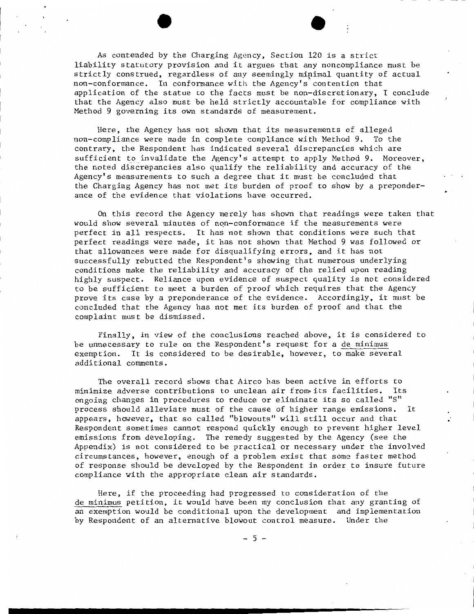As contended by the Charging Agency, Section 120 is a strict liability statutory provision and it argues that any noncompliance must be strictly construed, regardless of any seemingly minimal quantity of actual non-conformance. In conformance with the Agency's contention that application of the statue to the facts must be non-discretionary, I conclude that the Agency also must be held strictly accountable for compliance with Method 9 governing its own standards of measurement.

Here, the Agency has not shown that its measurements of alleged non-compliance were made in complete compliance with Method 9. To the contrary, the Respondent has indicated several discrepancies which are sufficient to invalidate the Agency's attempt to apply Method 9. Moreover, the noted discrepancies also qualify the reliability and accuracy of the Agency's measurements to such a degree that it must be concluded that the Charging Agency has not met its burden of proof to show by a preponderance of the evidence that violations have occurred.

On this record the Agency merely has shown that readings were taken that would show several minutes of non-conformance if the measurements were perfect in all respects. It has not shown that conditions were such that perfect readings were made, it has not shown that Method 9 was followed or that allowances were made for disqualifying errors, and it has not successfully rebutted the Respondent's showing that numerous underlying conditions make the reliability and accuracy of the relied upon reading highly suspect. Reliance upon evidence of suspect quality is not considered to be sufficient to meet a burden of proof which requires that the Agency prove its case by a preponderance of the evidence. Accordingly, it must be concluded that the Agency has not met its burden of proof and that the complaint must be dismissed.

Finally, in view of the conclusions reached above, it is considered to be unnecessary to rule on the Respondent's request for a de minimus exemption. It is considered to be desirable, however, to make several additional comments.

The overall record shows that Airco has been active in efforts to minimize adverse contributions to unclean air from its facilities. Its ongoing changes in procedures to reduce or eliminate its so called "S" process should alleviate must of the cause of higher range emissions. It appears, however, that so called "blowouts" will still occur and that Respondent sometimes cannot respond quickly enough to prevent higher level emissions from developing. The remedy suggested by the Agency (see the Appendix) is not considered to be practical or necessary under the involved circumstances, however, enough of a problem exist that some faster method of response should be developed by the Respondent in order to insure future compliance with the appropriate clean air standards.

Here, if the proceeding had progressed to consideration of the de minimus petition, it would have been my conclusion that any granting of an exemption would be conditional upon the development and implementation by Respondent of an alternative blowout control measure. Under the

- 5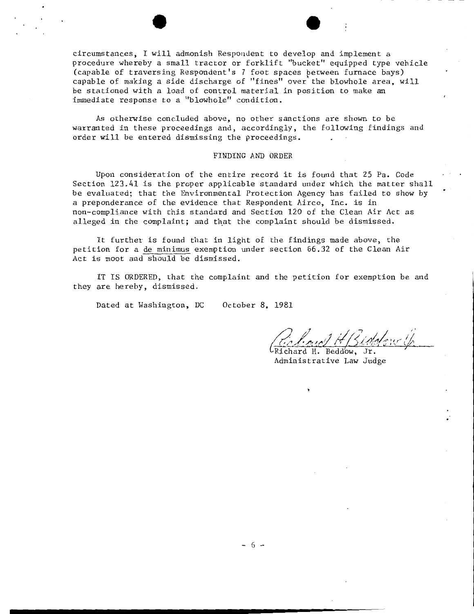circumstances, I will admonish Respondent to develop and implement a procedure whereby a small tractor or forklift "bucket" equipped type vehicle<br>(capable of traversing Respondent's 7 foot spaces between furnace bays) capable of making a side discharge of "fines" over the blowhole area, will be stationed with a load of control material in position to make an immediate response to a "blowhole" condition.

As otherwise concluded above, no other sanctions are shown to be warranted in these proceedings and, accordingly, the following findings and order will be entered dismissing the proceedings.

## FINDING AND ORDER

Upon consideration of the entire record it is found that 25 Pa. Code Section 123.41 is the proper applicable standard under which the matter shall be evaluated; that the Environmental Protection Agency has failed to show by a preponderance of the evidence that Respondent Airco, Inc. is in non-compliance with this standard and Section 120 of the Clean Air Act as alleged in the complaint; and that the complaint should be dismissed.

It further is found that in light of the findings made above, the petition for a de minimus exemption under section 66.32 of the Clean Air Act is moot and should be dismissed.

IT IS ORDERED, that the complaint and the petition for exemption be and they are hereby, dismissed.

Dated at Washington, DC October 8, 1981

 $\frac{1}{2}$  for  $\frac{1}{2}$  in  $\frac{1}{2}$  (hold  $\frac{1}{2}$  iv (f)

Administrative Law Judge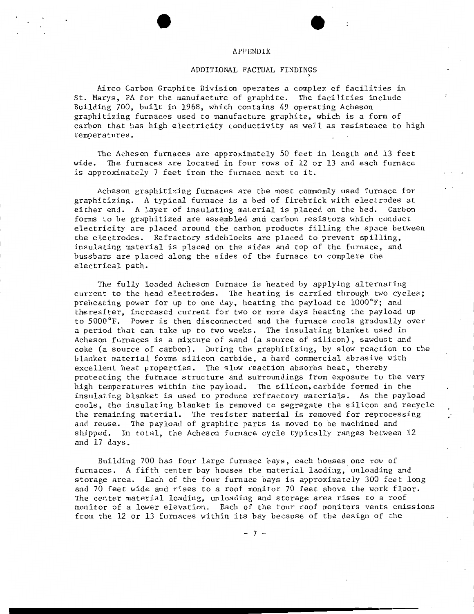#### **APPENDIX**

#### ADDITIONAL FACTUAL FINDINGS

Airco Carbon Graphite Division operates a complex of facilities in St. Marys, PA for the manufacture of graphite. The facilities include Building 700, built in 1968, which contains 49 operating Acheson graphitizing furnaces used to manufacture graphite, which is a form of carbon that has high electricity conductivity as well as resistence to high temperatures.

The Acheson furnaces are approximately 50 feet in length and 13 feet wide. The furnaces are located in four rows of 12 or 13 and each furnace is approximately 7 feet from the furnace next to it.

Acheson graphitizing furnaces are the most commomly used furnace for graphitizing. A typical furnace is a bed of firebrick with electrodes at<br>either end. A laver of insulating material is placed on the bed. Carbon either end. A layer of insulating material is placed on the bed. forms to be graphitized are assembled and carbon resistors which conduct electricity are placed around the carbon products filling the space between the electrodes. Refractory sideblocks are placed to prevent spilling, insulating material is placed on the sides and top of the furnace, and bussbars are placed along the sides of the furnace to complete the electrical path.

The fully loaded Acheson furnace is heated by applying alternating current to the head electrodes. The heating is carried through two cycles; preheating power for up to one day, heating the payload to 1000°F; and thereafter, increased current for two or more days heating the payload up to 5000°F. Power is then disconnected and the furnace cools gradually over <sup>a</sup>period that can take up to two weeks. The insulating blanket used in Acheson furnaces is a mixture of sand (a source of silicon), sawdust and coke (a source of carbon). During the graphitizing, by slow reaction to the blanket material forms silicon carbide, a hard commercial abrasive with excellent heat properties. The slow reaction absorbs heat, thereby protecting the furnace structure and surroundings from exposure to the very high temperatures within the payload. The silicon, carbide formed in the insulating blanket is used to produce refractory materials. As the payload cools, the insulating blanket is removed to segregate the silicon and recycle the remaining material. The resister material is removed for reprocessing and reuse. The payload of graphite parts is moved to be machined and shipped. In total, the Acheson furnace cycle typically ranges between 12 and 17 days.

Building 700 has four large furnace bays, each houses one row of furnaces. A fifth center bay houses the material laoding, unloading and storage area. Each of the four furnace bays is approximately 300 feet long and 70 feet wide and rises to a roof monitor 70 feet above the work floor. The center material loading, unloading and storage area rises to a roof monitor of a lower elevation. Each of the four roof monitors vents emissions from the 12 or 13 furnaces within its bay because of the design of the

 $- 7 -$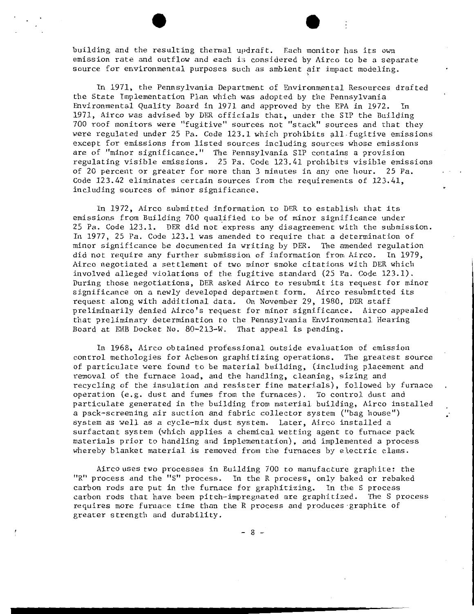building and the resulting thennal updraft. Each monitor has its own emission rate and outflow and each is considered by Airco to be a separate source for environmental purposes such as ambient air impact modeling.

In 1971, the Pennsylvania Department of Environmental Resources drafted the State Implementation Plan which was adopted by the Pennsylvania Fnvironmental Quality Board in 1971 and approved by the EPA in 1972. In 1971, Airco was advised by DER officials that, under the SIP the Building 700 roof monitors were "fugitive" sources not "stack" sources and that they were regulated under  $25$  Pa. Code  $123.1$  which prohibits all. fugitive emissions except for emissions from listed sources including sources whose emissions are of "minor significance." The Pennsylvania  $SIP$  contains a provision regulating visible emissions. 25 Pa. Code 123.41 prohibits visible emissions of 20 percent or greater for more than 3 minutes in any one hour. 25 Pa. Code 123.42 eliminates certain sources from the requirements of 123.41, including sources of minor significance.

In 1972, Airco submitted information to DER to establish that its emissions from Building 700 qualified to be of minor significance under  $25$  Pa. Code  $123.1$ . DER did not express any disagreement with the submission. In 1977, 25 Pa. Code 123.1 was amended to require that a determination of minor significance be documented in writing by DER. The amended regulation did not require any further submission of information from Airco. In 1979, Airco negotiated a settlement of two minor smoke citations with DER which involved alleged violations of the fugitive standard (25 Pa. Code 123.1). During those negotiations, DER asked Airco to resubmit its request for minor significance on a newly developed department form. Airco resubmitted its request along with additional data. On November 29, 1980, DER staff preliminarily denied Airco's request for minor significance. Airco appealed that preliminary determination to the Pennsylvania Environmental Hearing Board at EHB Docket No. 80-213-W. That appeal is pending.

In 1968, Airco obtained professional outside evaluation of emission control methologies for Acheson graphitizing operations. The greatest source of particulate were found to be material building, (including placement and removal of the furnace load, and the handling, cleaning, sizing and recycling of the insulation and resister fine materials), followed by furnace operation (e.g. dust and fumes from the furnaces). To control dust and particulate generated in the building from material building, Airco installed *<sup>a</sup>*pack-screening air suction and fabric collector system ("bag house") system as well as *a* cycle-mix dust system. Later, Airco installed a surfactant system (which applies a chemical wetting agent to furnace pack materials prior to handling and implementation), and implemented a process whereby blanket material is removed from the furnaces by electric clams.

Air co uses two processes in Building 700 to manufacture graphite: the "R" process and the "S" process. In the R process, only baked or rebaked carbon rods are put in the furnace for graphitizing. In the S process carbon rods that have been pitch-impregnated are graphitized. The S process requires more furnace time than the R process and produces ·graphite of greater strength and durability.

 $- 8 -$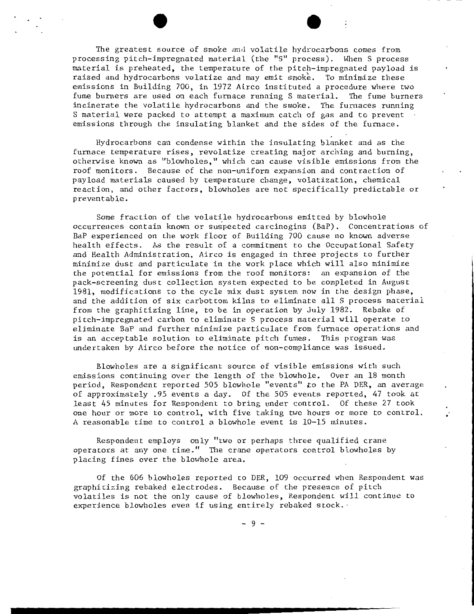The greatest source of smoke and volatile hydrocarbons comes from processing pitch-impregnated material (the "S" process). When S process material is preheated, the temperature of the pitch-impregnated payload is raised and hydrocarbons volatize and may emit smoke. To minimize these emissions in Building 700, in 1972 Airco instituted a procedure where two fume bumers are used on each fumace running S material. The fume burners incinerate the volatile hydrocarbons and the smoke. The fumaces running S material were packed to attempt *a* maximum catch of gas and to prevent emissions through the insulating blanket and the sides of the furnace.

Hydrocarbons can condense within the insulating blanket and as the furnace temperature rises, revolatize creating major arching and burning, otherwise known as "blowholes," which can cause visible emissions from the roof monitors. Because of the non-uniform expansion and contraction of payload materials caused by temperature change, volatization, chemical reaction, and other factors, blowholes are not specifically predictable or preventable.

Some fraction of the volatile hydrocarbons emitted by blowhole occurrences contain known or suspected carcinogins (BaP). Concentrations of BaP experienced on the work floor of Building 700 cause no known adverse health effects. As the result of a commitment to the Occupational Safety and Health Administration, Airco is engaged in three projects to further minimize dust and particulate in the work place which will also minimize the potential for emissions from the roof monitors: an expansion of the pack-screening dust collection system expected to be completed in August 1981, modifications to the cycle mix dust system now in the design phase, and the addition of six carbottom kilns to eliminate all S process material from the graphitizing line, to be in operation by July 1982. Rebake of pitch-impregnated carbon to eliminate S process material will operate to eliminate BaP and further minimize particulate from furnace operations and is an acceptable solution to eliminate pitch fumes. This program was undertaken by Airco before the notice of non-compliance was issued.

Blowholes are a significant source of visible emissions with such emissions continuing over the length of the blowhole. Over an 18 month period, Respondent reported 505 blowhole "events" to the PA DER, an average of approximately .95 events a day. Of the 505 events reported, 47 took at least 45 minutes for Respondent to bring under control. Of these 27 took one hour or more to control, with five taking two hours or more to control. A reasonable time to control a blowhole event is 10-15 minutes.

Respondent employs only "two or perhaps three qualified crane operators at any one time." The crane operators control blowholes by placing fines over the blowhole area.

Of the 606 blowholes reported to DER, 109 occurred when Respondent was graphitizing rebaked electrodes. Because of the presence of pitch volatiles is not the only cause of blowholes, Respondent will continue to experience blowholes even if using entirely rebaked stock. ·

 $-9 -$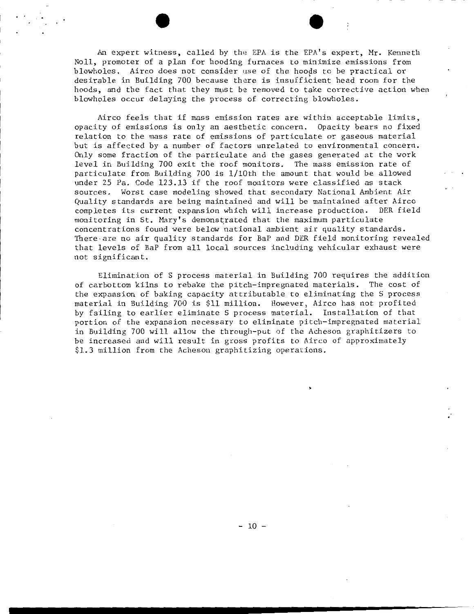An expert witness, called by the EPA is the EPA's expert, Mr. Kenneth Noll, promoter of a plan for hooding furnaces to minimize emissions from blowholes. Airco does not consider use of the hoods to be practical or desirable in Building 700 because there is insufficient head room for the hoods, and the fact that they must be removed to take corrective action when blowholes occur delaying the process of correcting blowholes.

Airco feels that if mass emission rates are within acceptable limits, opacity of emissions is only an aesthetic concern. Opacity bears no fixed relation to the mass rate of emissions of particulate or gaseous material but is affected by a number of factors unrelated to environmental concern. Only some fraction of the particulate and the gases generated at the work level in Building 700 exit the roof monitors. The mass emission rate of particulate from Building 700 is 1/lOth the amount that would be allowed under 25 Pa. Code 123.13 if the roof monitors were classified as stack sources. Worst case modeling showed that secondary National Ambient Air Quality standards are being maintained and will be maintained after Airco completes its current expansion which will increase production. DER field monitoring in St. Mary's demonstrated that the maximum particulate concentrations found were below national ambient air quality standards. There-are no air quality standards for BaP and DER field monitoring revealed that levels of BaP from all local sources including vehicular exhaust were not significant.

Elimination of S process material in Building 700 requires the addition of carbottom kilns to rebake the pitch-impregnated materials. The cost of the expansion of baking capacity attributable to eliminating the S process material in Building 700 is \$11 million. However, Airco has not profited by failing to earlier eliminate S process material. Installation of that portion of the expansion necessary to eliminate pitch-impregnated material in Building 700 will allow the through-put of the Acheson graphitizers to be increased and will result in gross profits to Airco of approximately \$1.3 million from the Acheson graphitizing operations.